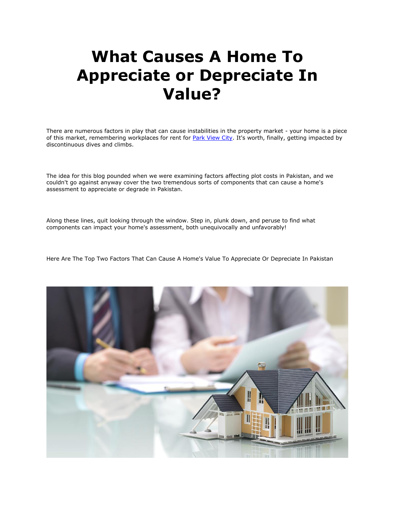## **What Causes A Home To Appreciate or Depreciate In Value?**

There are numerous factors in play that can cause instabilities in the property market - your home is a piece of this market, remembering workplaces for rent for [Park View City.](https://gharbaar.com/park-view-city) It's worth, finally, getting impacted by discontinuous dives and climbs.

The idea for this blog pounded when we were examining factors affecting plot costs in Pakistan, and we couldn't go against anyway cover the two tremendous sorts of components that can cause a home's assessment to appreciate or degrade in Pakistan.

Along these lines, quit looking through the window. Step in, plunk down, and peruse to find what components can impact your home's assessment, both unequivocally and unfavorably!

Here Are The Top Two Factors That Can Cause A Home's Value To Appreciate Or Depreciate In Pakistan

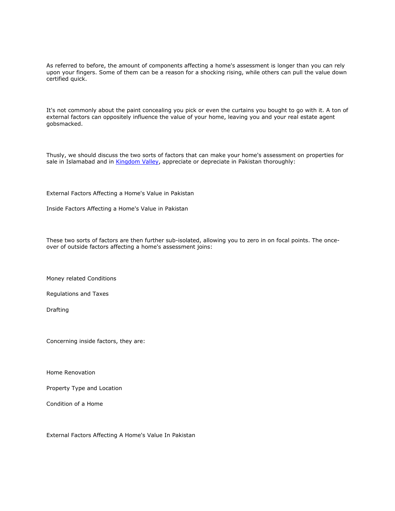As referred to before, the amount of components affecting a home's assessment is longer than you can rely upon your fingers. Some of them can be a reason for a shocking rising, while others can pull the value down certified quick.

It's not commonly about the paint concealing you pick or even the curtains you bought to go with it. A ton of external factors can oppositely influence the value of your home, leaving you and your real estate agent gobsmacked.

Thusly, we should discuss the two sorts of factors that can make your home's assessment on properties for sale in Islamabad and in [Kingdom Valley,](https://gharbaar.com/kingdom-valley) appreciate or depreciate in Pakistan thoroughly:

External Factors Affecting a Home's Value in Pakistan

Inside Factors Affecting a Home's Value in Pakistan

These two sorts of factors are then further sub-isolated, allowing you to zero in on focal points. The onceover of outside factors affecting a home's assessment joins:

Money related Conditions

Regulations and Taxes

Drafting

Concerning inside factors, they are:

Home Renovation

Property Type and Location

Condition of a Home

External Factors Affecting A Home's Value In Pakistan